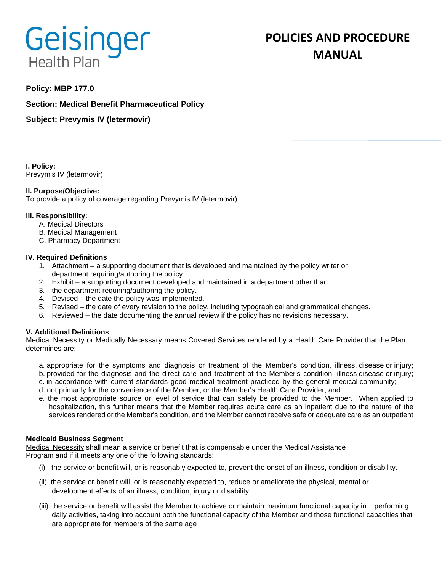# Geisinger **Health Plan**

# **POLICIES AND PROCEDURE MANUAL**

# **Policy: MBP 177.0**

**Section: Medical Benefit Pharmaceutical Policy**

**Subject: Prevymis IV (letermovir)**

**I. Policy:** Prevymis IV (letermovir)

# **II. Purpose/Objective:**

To provide a policy of coverage regarding Prevymis IV (letermovir)

### **III. Responsibility:**

- A. Medical Directors
- B. Medical Management
- C. Pharmacy Department

### **IV. Required Definitions**

- 1. Attachment a supporting document that is developed and maintained by the policy writer or department requiring/authoring the policy.
- 2. Exhibit a supporting document developed and maintained in a department other than
- 3. the department requiring/authoring the policy.
- 4. Devised the date the policy was implemented.
- 5. Revised the date of every revision to the policy, including typographical and grammatical changes.
- 6. Reviewed the date documenting the annual review if the policy has no revisions necessary.

# **V. Additional Definitions**

Medical Necessity or Medically Necessary means Covered Services rendered by a Health Care Provider that the Plan determines are:

- a. appropriate for the symptoms and diagnosis or treatment of the Member's condition, illness, disease or injury; b. provided for the diagnosis and the direct care and treatment of the Member's condition, illness disease or injury;
- c. in accordance with current standards good medical treatment practiced by the general medical community;
- d. not primarily for the convenience of the Member, or the Member's Health Care Provider; and
- e. the most appropriate source or level of service that can safely be provided to the Member. When applied to hospitalization, this further means that the Member requires acute care as an inpatient due to the nature of the services rendered or the Member's condition, and the Member cannot receive safe or adequate care as an outpatient

#### **Medicaid Business Segment**

Medical Necessity shall mean a service or benefit that is compensable under the Medical Assistance Program and if it meets any one of the following standards:

- (i) the service or benefit will, or is reasonably expected to, prevent the onset of an illness, condition or disability.
- (ii) the service or benefit will, or is reasonably expected to, reduce or ameliorate the physical, mental or development effects of an illness, condition, injury or disability.
- (iii) the service or benefit will assist the Member to achieve or maintain maximum functional capacity in performing daily activities, taking into account both the functional capacity of the Member and those functional capacities that are appropriate for members of the same age